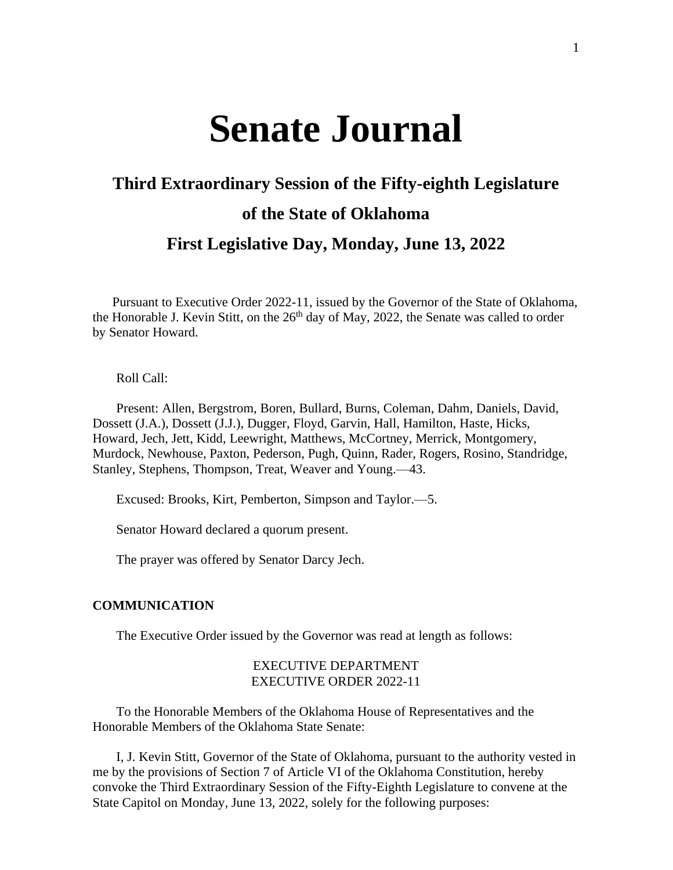# **Senate Journal**

## **Third Extraordinary Session of the Fifty-eighth Legislature of the State of Oklahoma**

### **First Legislative Day, Monday, June 13, 2022**

Pursuant to Executive Order 2022-11, issued by the Governor of the State of Oklahoma, the Honorable J. Kevin Stitt, on the  $26<sup>th</sup>$  day of May, 2022, the Senate was called to order by Senator Howard.

Roll Call:

Present: Allen, Bergstrom, Boren, Bullard, Burns, Coleman, Dahm, Daniels, David, Dossett (J.A.), Dossett (J.J.), Dugger, Floyd, Garvin, Hall, Hamilton, Haste, Hicks, Howard, Jech, Jett, Kidd, Leewright, Matthews, McCortney, Merrick, Montgomery, Murdock, Newhouse, Paxton, Pederson, Pugh, Quinn, Rader, Rogers, Rosino, Standridge, Stanley, Stephens, Thompson, Treat, Weaver and Young.—43.

Excused: Brooks, Kirt, Pemberton, Simpson and Taylor.—5.

Senator Howard declared a quorum present.

The prayer was offered by Senator Darcy Jech.

#### **COMMUNICATION**

The Executive Order issued by the Governor was read at length as follows:

#### EXECUTIVE DEPARTMENT EXECUTIVE ORDER 2022-11

To the Honorable Members of the Oklahoma House of Representatives and the Honorable Members of the Oklahoma State Senate:

I, J. Kevin Stitt, Governor of the State of Oklahoma, pursuant to the authority vested in me by the provisions of Section 7 of Article VI of the Oklahoma Constitution, hereby convoke the Third Extraordinary Session of the Fifty-Eighth Legislature to convene at the State Capitol on Monday, June 13, 2022, solely for the following purposes: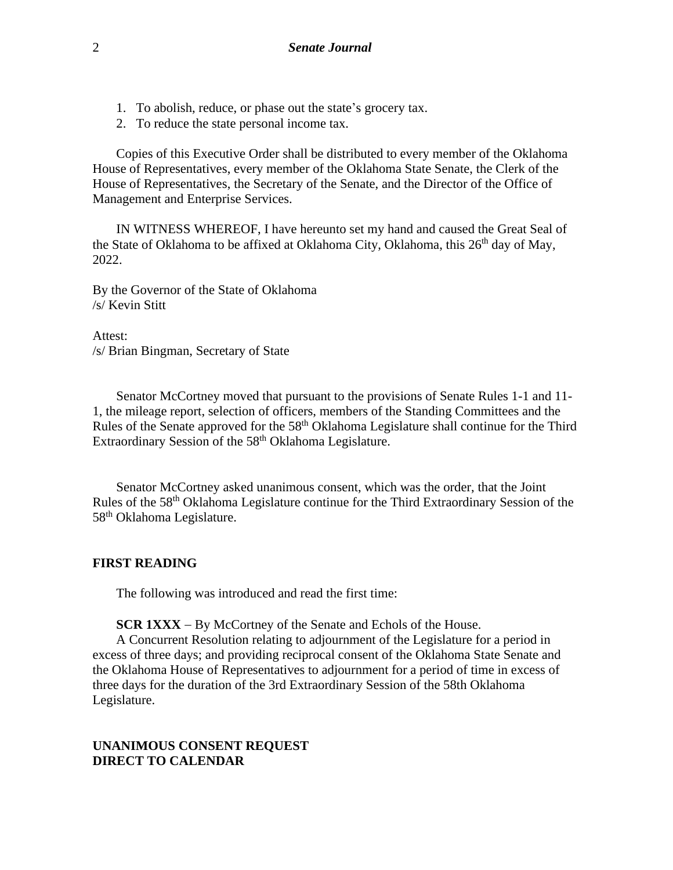- 1. To abolish, reduce, or phase out the state's grocery tax.
- 2. To reduce the state personal income tax.

Copies of this Executive Order shall be distributed to every member of the Oklahoma House of Representatives, every member of the Oklahoma State Senate, the Clerk of the House of Representatives, the Secretary of the Senate, and the Director of the Office of Management and Enterprise Services.

IN WITNESS WHEREOF, I have hereunto set my hand and caused the Great Seal of the State of Oklahoma to be affixed at Oklahoma City, Oklahoma, this 26<sup>th</sup> day of May, 2022.

By the Governor of the State of Oklahoma /s/ Kevin Stitt

Attest: /s/ Brian Bingman, Secretary of State

Senator McCortney moved that pursuant to the provisions of Senate Rules 1-1 and 11- 1, the mileage report, selection of officers, members of the Standing Committees and the Rules of the Senate approved for the 58th Oklahoma Legislature shall continue for the Third Extraordinary Session of the 58<sup>th</sup> Oklahoma Legislature.

Senator McCortney asked unanimous consent, which was the order, that the Joint Rules of the 58th Oklahoma Legislature continue for the Third Extraordinary Session of the 58th Oklahoma Legislature.

#### **FIRST READING**

The following was introduced and read the first time:

**SCR 1XXX** − By McCortney of the Senate and Echols of the House.

A Concurrent Resolution relating to adjournment of the Legislature for a period in excess of three days; and providing reciprocal consent of the Oklahoma State Senate and the Oklahoma House of Representatives to adjournment for a period of time in excess of three days for the duration of the 3rd Extraordinary Session of the 58th Oklahoma Legislature.

#### **UNANIMOUS CONSENT REQUEST DIRECT TO CALENDAR**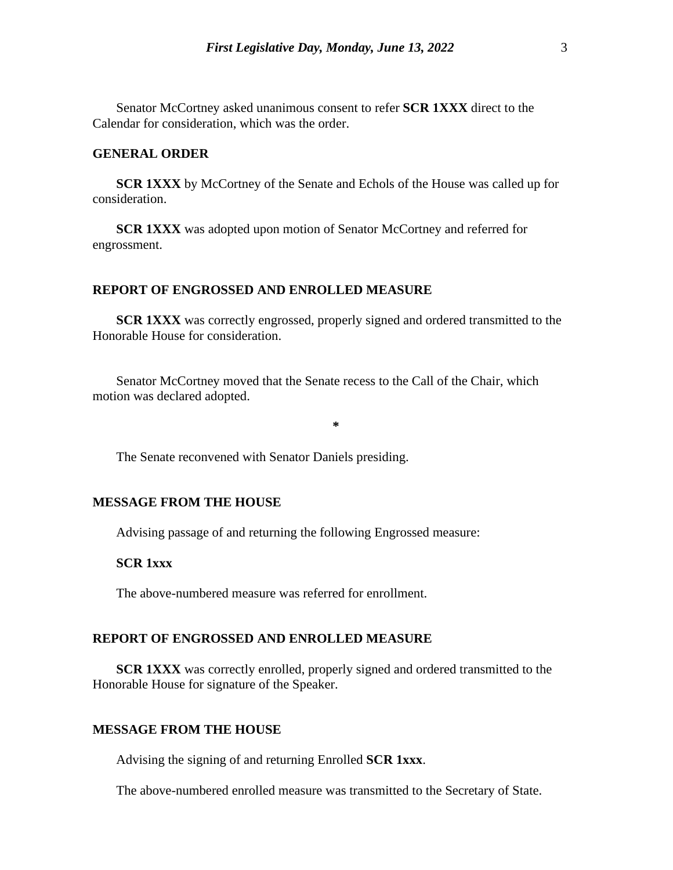Senator McCortney asked unanimous consent to refer **SCR 1XXX** direct to the Calendar for consideration, which was the order.

#### **GENERAL ORDER**

**SCR 1XXX** by McCortney of the Senate and Echols of the House was called up for consideration.

**SCR 1XXX** was adopted upon motion of Senator McCortney and referred for engrossment.

#### **REPORT OF ENGROSSED AND ENROLLED MEASURE**

**SCR 1XXX** was correctly engrossed, properly signed and ordered transmitted to the Honorable House for consideration.

Senator McCortney moved that the Senate recess to the Call of the Chair, which motion was declared adopted.

**\***

The Senate reconvened with Senator Daniels presiding.

#### **MESSAGE FROM THE HOUSE**

Advising passage of and returning the following Engrossed measure:

#### **SCR 1xxx**

The above-numbered measure was referred for enrollment.

#### **REPORT OF ENGROSSED AND ENROLLED MEASURE**

**SCR 1XXX** was correctly enrolled, properly signed and ordered transmitted to the Honorable House for signature of the Speaker.

#### **MESSAGE FROM THE HOUSE**

Advising the signing of and returning Enrolled **SCR 1xxx**.

The above-numbered enrolled measure was transmitted to the Secretary of State.